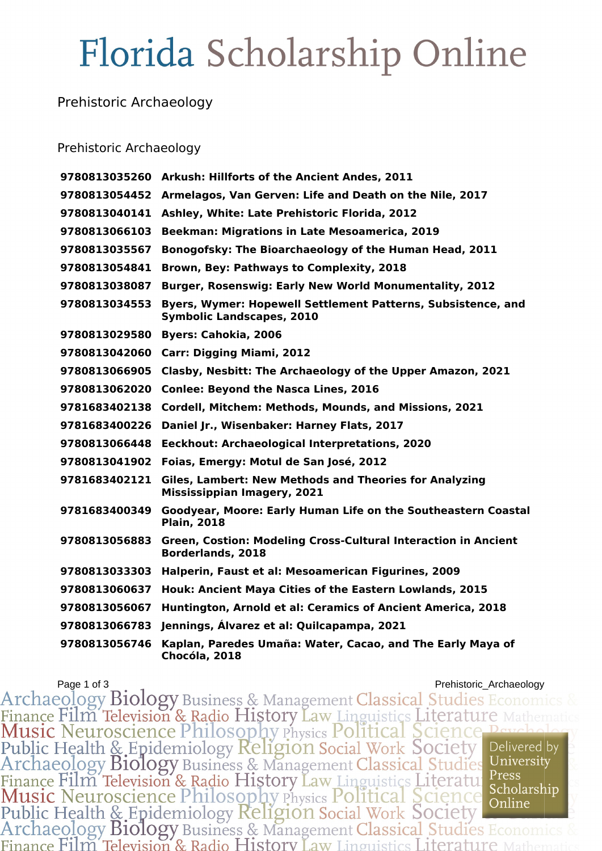# Florida Scholarship Online

### Prehistoric Archaeology

#### Prehistoric Archaeology

| 9780813035260 | Arkush: Hillforts of the Ancient Andes, 2011                                                        |
|---------------|-----------------------------------------------------------------------------------------------------|
| 9780813054452 | Armelagos, Van Gerven: Life and Death on the Nile, 2017                                             |
| 9780813040141 | Ashley, White: Late Prehistoric Florida, 2012                                                       |
| 9780813066103 | Beekman: Migrations in Late Mesoamerica, 2019                                                       |
| 9780813035567 | Bonogofsky: The Bioarchaeology of the Human Head, 2011                                              |
| 9780813054841 | Brown, Bey: Pathways to Complexity, 2018                                                            |
| 9780813038087 | <b>Burger, Rosenswig: Early New World Monumentality, 2012</b>                                       |
| 9780813034553 | Byers, Wymer: Hopewell Settlement Patterns, Subsistence, and<br><b>Symbolic Landscapes, 2010</b>    |
| 9780813029580 | <b>Byers: Cahokia, 2006</b>                                                                         |
| 9780813042060 | Carr: Digging Miami, 2012                                                                           |
| 9780813066905 | Clasby, Nesbitt: The Archaeology of the Upper Amazon, 2021                                          |
| 9780813062020 | <b>Conlee: Beyond the Nasca Lines, 2016</b>                                                         |
| 9781683402138 | Cordell, Mitchem: Methods, Mounds, and Missions, 2021                                               |
| 9781683400226 | Daniel Jr., Wisenbaker: Harney Flats, 2017                                                          |
| 9780813066448 | Eeckhout: Archaeological Interpretations, 2020                                                      |
| 9780813041902 | Foias, Emergy: Motul de San José, 2012                                                              |
| 9781683402121 | <b>Giles, Lambert: New Methods and Theories for Analyzing</b><br><b>Mississippian Imagery, 2021</b> |
| 9781683400349 | Goodyear, Moore: Early Human Life on the Southeastern Coastal<br><b>Plain, 2018</b>                 |
| 9780813056883 | Green, Costion: Modeling Cross-Cultural Interaction in Ancient<br><b>Borderlands, 2018</b>          |
| 9780813033303 | Halperin, Faust et al: Mesoamerican Figurines, 2009                                                 |
| 9780813060637 | Houk: Ancient Maya Cities of the Eastern Lowlands, 2015                                             |
| 9780813056067 | Huntington, Arnold et al: Ceramics of Ancient America, 2018                                         |
| 9780813066783 | Jennings, Álvarez et al: Quilcapampa, 2021                                                          |
| 9780813056746 | Kaplan, Paredes Umaña: Water, Cacao, and The Early Maya of<br>Chocóla, 2018                         |

Prehistoric\_Archaeology Biology Business & Management Classical Studies Economics & Finance Film Television & Radio History Law Linguistics Literature Mathematics<br>
Music Neuroscience Philosophy Physics Political Science Pa Finance Film Television & Radio History Law Linguistics Literature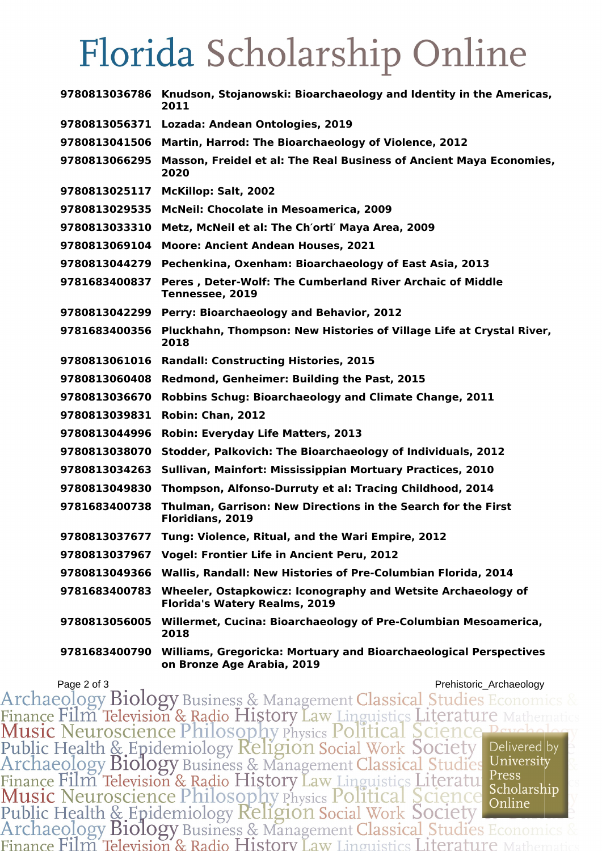## Florida Scholarship Online

|               | 9780813036786 Knudson, Stojanowski: Bioarchaeology and Identity in the Americas,<br>2011                      |
|---------------|---------------------------------------------------------------------------------------------------------------|
| 9780813056371 | Lozada: Andean Ontologies, 2019                                                                               |
| 9780813041506 | Martin, Harrod: The Bioarchaeology of Violence, 2012                                                          |
| 9780813066295 | Masson, Freidel et al: The Real Business of Ancient Maya Economies,<br>2020                                   |
| 9780813025117 | McKillop: Salt, 2002                                                                                          |
| 9780813029535 | <b>McNeil: Chocolate in Mesoamerica, 2009</b>                                                                 |
| 9780813033310 | Metz, McNeil et al: The Ch'orti' Maya Area, 2009                                                              |
| 9780813069104 | <b>Moore: Ancient Andean Houses, 2021</b>                                                                     |
| 9780813044279 | Pechenkina, Oxenham: Bioarchaeology of East Asia, 2013                                                        |
| 9781683400837 | Peres, Deter-Wolf: The Cumberland River Archaic of Middle<br>Tennessee, 2019                                  |
| 9780813042299 | Perry: Bioarchaeology and Behavior, 2012                                                                      |
| 9781683400356 | Pluckhahn, Thompson: New Histories of Village Life at Crystal River,<br>2018                                  |
| 9780813061016 | <b>Randall: Constructing Histories, 2015</b>                                                                  |
| 9780813060408 | Redmond, Genheimer: Building the Past, 2015                                                                   |
| 9780813036670 | <b>Robbins Schug: Bioarchaeology and Climate Change, 2011</b>                                                 |
| 9780813039831 | Robin: Chan, 2012                                                                                             |
| 9780813044996 | <b>Robin: Everyday Life Matters, 2013</b>                                                                     |
| 9780813038070 | Stodder, Palkovich: The Bioarchaeology of Individuals, 2012                                                   |
| 9780813034263 | Sullivan, Mainfort: Mississippian Mortuary Practices, 2010                                                    |
| 9780813049830 | Thompson, Alfonso-Durruty et al: Tracing Childhood, 2014                                                      |
| 9781683400738 | Thulman, Garrison: New Directions in the Search for the First<br>Floridians, 2019                             |
|               | 9780813037677 Tung: Violence, Ritual, and the Wari Empire, 2012                                               |
| 9780813037967 | <b>Vogel: Frontier Life in Ancient Peru, 2012</b>                                                             |
| 9780813049366 | Wallis, Randall: New Histories of Pre-Columbian Florida, 2014                                                 |
| 9781683400783 | Wheeler, Ostapkowicz: Iconography and Wetsite Archaeology of<br><b>Florida's Watery Realms, 2019</b>          |
| 9780813056005 | Willermet, Cucina: Bioarchaeology of Pre-Columbian Mesoamerica,<br>2018                                       |
|               | 9781683400790 Williams, Gregoricka: Mortuary and Bioarchaeological Perspectives<br>on Bronze Age Arabia, 2019 |

Page 2 of 3<br>Archaeology Biology Business & Management Classical Studies Economics & Finance Film Television & Radio History Law Linguistics Literature<br>Music Neuroscience Philosophy Physics Political Science Per<br>Public Health & Epidemiology Religion Social Work Society<br>Archaeology Biology Business & Manage Delivered by University Finance Film Television & Radio History Law Linguistics Literature Press<br>Music Neuroscience Philosophy Physics Political Science Scholarship<br>Public Health & Epidemiology Religion Social Work Society<br>Archaeology Biology Bus Press Finance Film Television & Radio History Law Linguistics Literature 1